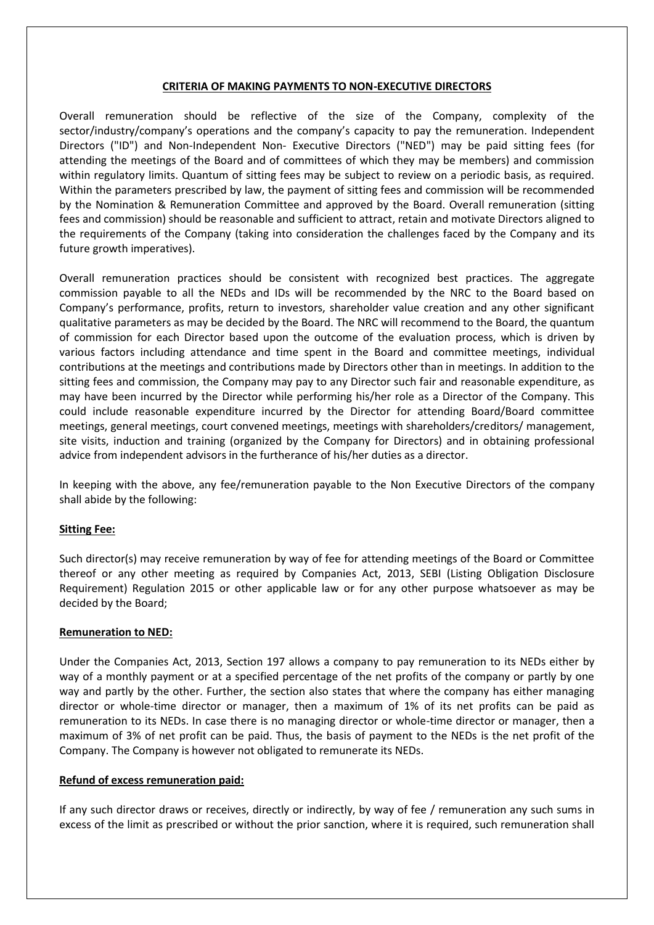# **CRITERIA OF MAKING PAYMENTS TO NON-EXECUTIVE DIRECTORS**

Overall remuneration should be reflective of the size of the Company, complexity of the sector/industry/company's operations and the company's capacity to pay the remuneration. Independent Directors ("ID") and Non-Independent Non- Executive Directors ("NED") may be paid sitting fees (for attending the meetings of the Board and of committees of which they may be members) and commission within regulatory limits. Quantum of sitting fees may be subject to review on a periodic basis, as required. Within the parameters prescribed by law, the payment of sitting fees and commission will be recommended by the Nomination & Remuneration Committee and approved by the Board. Overall remuneration (sitting fees and commission) should be reasonable and sufficient to attract, retain and motivate Directors aligned to the requirements of the Company (taking into consideration the challenges faced by the Company and its future growth imperatives).

Overall remuneration practices should be consistent with recognized best practices. The aggregate commission payable to all the NEDs and IDs will be recommended by the NRC to the Board based on Company's performance, profits, return to investors, shareholder value creation and any other significant qualitative parameters as may be decided by the Board. The NRC will recommend to the Board, the quantum of commission for each Director based upon the outcome of the evaluation process, which is driven by various factors including attendance and time spent in the Board and committee meetings, individual contributions at the meetings and contributions made by Directors other than in meetings. In addition to the sitting fees and commission, the Company may pay to any Director such fair and reasonable expenditure, as may have been incurred by the Director while performing his/her role as a Director of the Company. This could include reasonable expenditure incurred by the Director for attending Board/Board committee meetings, general meetings, court convened meetings, meetings with shareholders/creditors/ management, site visits, induction and training (organized by the Company for Directors) and in obtaining professional advice from independent advisors in the furtherance of his/her duties as a director.

In keeping with the above, any fee/remuneration payable to the Non Executive Directors of the company shall abide by the following:

# **Sitting Fee:**

Such director(s) may receive remuneration by way of fee for attending meetings of the Board or Committee thereof or any other meeting as required by Companies Act, 2013, SEBI (Listing Obligation Disclosure Requirement) Regulation 2015 or other applicable law or for any other purpose whatsoever as may be decided by the Board;

# **Remuneration to NED:**

Under the Companies Act, 2013, Section 197 allows a company to pay remuneration to its NEDs either by way of a monthly payment or at a specified percentage of the net profits of the company or partly by one way and partly by the other. Further, the section also states that where the company has either managing director or whole-time director or manager, then a maximum of 1% of its net profits can be paid as remuneration to its NEDs. In case there is no managing director or whole-time director or manager, then a maximum of 3% of net profit can be paid. Thus, the basis of payment to the NEDs is the net profit of the Company. The Company is however not obligated to remunerate its NEDs.

### **Refund of excess remuneration paid:**

If any such director draws or receives, directly or indirectly, by way of fee / remuneration any such sums in excess of the limit as prescribed or without the prior sanction, where it is required, such remuneration shall